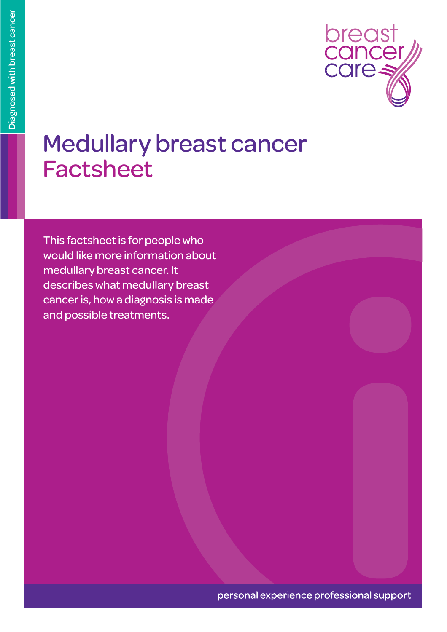

#### Medullary breast cancer Factsheet

This factsheet is for people who would like more information about medullary breast cancer. It describes what medullary breast cancer is, how a diagnosis is made and possible treatments.

personal experience professional support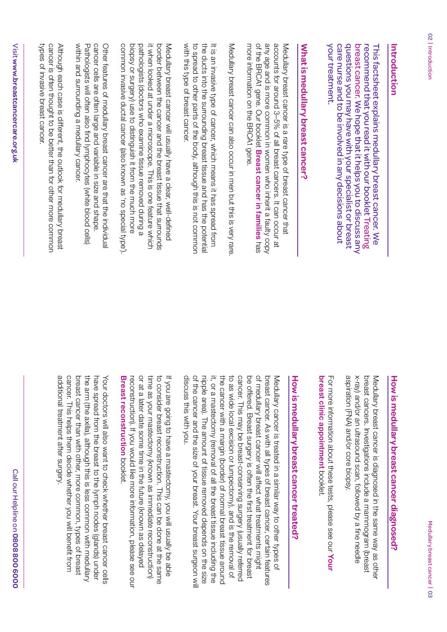#### Introduction **Introduction**

your treatment. care nurse and to be involved in any decisions about questions you may have with your specialist or breast breast cancer. We hope that it helps you to discuss any recommend that you read it with our booklet Treating This factsheet explains medullary breast cancer. We your treatment. care nurse and to be involved in any decisions about questions you may have with your specialist or breast breast cancer. We hope that it helps you to discuss any recommend that you read it with our booklet This factsheet explains medullary breast cancer. We

## What is medullary breast cancer? **What is medullary breast cancer?**

of the BRCAI gene. Our booklet Breast cancer in families has any age and is more common in women who inherit a faulty copy accounts for around 3-5% of all breast cancers. It can occur at more information on the BRCA1 gene Medullary breast cancer is a rare type of breast cancer that more information on the BRCA1 gene. of the BRCA1 gene. Our booklet any age and is more common in women who inherit a faulty copy accounts for around 3–5% of all breast cancers. It can occur at Medullary breast cancer is a rare type of breast cancer that **Breast cancer in families**

Medullary breast cancer can also occur in men but this is very rare Medullary breast cancer can also occur in men but this is very rare.

with this type of breast cancer to spread to other parts of the body, although this is not common the ducts into the surrounding breast tissue and has the potential It is an invasive type of cancer, which means it has spread from with this type of breast cancer. to spread to other parts of the body, although this is not common the ducts into the surrounding breast tissue and has the potential It is an invasive type of cancer, which means it has spread from

common invasive ductal cancer (also known as 'no special type'). biopsy or surgery) use to distinguish it from the much more pathologists (doctors who examine tissue removed during a it when looked at under a microscope. This is one feature which border between the cancer and the breast tissue that surrounds Medullary breast cancer will usually have a clear, well-defined common invasive ductal cancer (also known as 'no special type'). biopsy or surgery) use to distinguish it from the much more pathologists (doctors who examine tissue removed during a it when looked at under a microscope. This is one feature which border between the cancer and the breast tissue that surrounds Medullary breast cancer will usually have a clear, well-defined

cancer cells are often large and variable in size and shape within and surrounding a medullary cancer. Pathologists will often also find lymphocytes (white blood cells) Other features of medullary breast cancer are that the individual within and surrounding a medullary cancer. Pathologists will often also find lymphocytes (white blood cells) cancer cells are often large and variable in size and shape. Other features of medullary breast cancer are that the individual

types of invasive breast cancer. cancer is often thought to be better than for other more common Although each case is different, the outlook for medullary breast types of invasive breast cancer. cancer is often thought to be better than for other more common Although each case is different, the outlook for medullary breast

# How is medullary breast cancer diagnosed? **How is medullary breast cancer diagnosed?**

aspiration (FNA) and/or core biopsy. x-ray) and/or an ultrasound scan, followed by a fine needle breast cancers. Investigations include a mammogram (breast Medullary breast cancer is diagnosed in the same way as other aspiration (FNA) and/or core biopsy. x-ray) and/or an ultrasound scan, followed by a fine needle breast cancers. Investigations include a mammogram (breast Medullary breast cancer is diagnosed in the same way as other

breast clinic appointment booklet For more information about these tests, please see our Your **breast clinic appointment**For more information about these tests, please see our booklet.

# How is medullary breast cancer treated? **How is medullary breast cancer treated?**

of the cancer and the size of your breast. Your breast surgeon will nipple area). The amount of tissue removed depends on the size it, or a mastectomy (removal of all the breast tissue including the the cancer with a margin (border) of normal breast tissue arounc to as wide local excision or lumpectomy), and is the removal of cancer. This may be breast-conserving surgery (usually referred be offered. Breast surgery is often the first treatment for breast of medullary breast cancer will affect what treatments might breast cancer. As with all types of breast cancer, certain features discuss this with you. Medullary cancer is treated in a similar way to other types of discuss this with you. of the cancer and the size of your breast. Your breast surgeon will nipple area). The amount of tissue removed depends on the size it, or a mastectomy (removal of all the breast tissue including the the cancer with a margin (border) of normal breast tissue around to as wide local excision or lumpectomy), and is the removal of cancer. This may be breast-conserving surgery (usually referred be offered. Breast surgery is often the first treatment for breast of medullary breast cancer will affect what treatments might breast cancer. As with all types of breast cancer, certain features Medullary cancer is treated in a similar way to other types of

Breast reconstruction booklet. or at a later date some time in the future (known as delayed time as your mastectomy (known as immediate reconstruction) to consider breast reconstruction. This can be done at the same reconstruction). If you would like more information, please see our If you are going to have a mastectomy, you will usually be able **Breast reconstruction** reconstruction). If you would like more information, please see our or at a later date some time in the future (known as delayed time as your mastectomy (known as immediate reconstruction) to consider breast reconstruction. This can be done at the same If you are going to have a mastectomy, you will usually be able booklet.

cancer. This helps them decide whether you will benefit from breast cancer than with other, more common, types of breast the arm (the axilla), although this is less common with medullary have spread from the breast to the lymph nodes (glands) under additional treatment after surgery. Your doctors will also want to check whether breast cancer cells additional treatment after surgery. cancer. This helps them decide whether you will benefit from breast cancer than with other, more common, types of breast the arm (the axilla), although this is less common with medullary have spread from the breast to the lymph nodes (glands) under Your doctors will also want to check whether breast cancer cells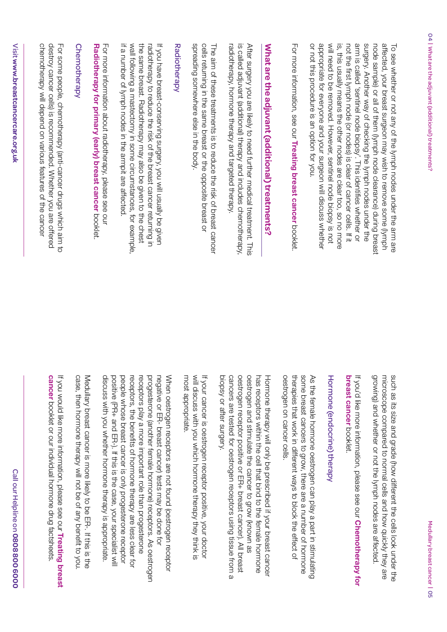or not this procedure is an option for you. appropriate tor everyone and your surgeon will discuss whethe arm is called 'sentineln ledgoid boop longer that whether or surgery. Another way of checking the lymph nodes under the node sample) or all ot them (lymph node clearance) during breast affected, your breast surgeon may wish to remove some (lymph will need to be removed. However, sentinel node biopsy is not is, this usually means the other nodes are clear too, so no more not the first lymph node (or nodes) is clear of cancer cells. If it To see whether or not any of the lymph nodes under the arm are or not this procedure is an option for you. appropriate for everyone and your surgeon will discuss whether will need to be removed. However, sentinel node biopsy is not is, this usually means the other nodes are clear too, so no more not the first lymph node (or nodes) is clear of cancer cells. If it arm is called 'sentinel node biopsy'. This identifies whether or surgery. Another way of checking the lymph nodes under the node sample) or all of them (lymph node clearance) during breast affected, your breast surgeon may wish to remove some (lymph To see whether or not any of the lymph nodes under the arm are

For more information, see our Treating breast cancer booklet For more information, see our **Treating breast cancer**booklet.

# What are the adjuvant (additional) treatments? **What are the adjuvant (additional) treatments?**

is called adjuvant (additional) therapy and includes chemotherapy, After surgery you are likely to need further medical treatment. This radiotherapy, hormone therapy and targeted therapy radiotherapy, hormone therapy and targeted therapy. is called adjuvant (additional) therapy and includes chemotherapy, After surgery you are likely to need further medical treatment. This

spreading somewhere else in the body. cells returning in the same breast or the opposite breast or The aim of these treatments is to reduce the risk of breast cancer spreading somewhere else in the body. cells returning in the same breast or the opposite breast or The aim of these treatments is to reduce the risk of breast cancer

#### **Radiotherapy** Radiotherapy

if a number of lymph nodes in the armpit are affected If you have breast-conserving surgery, you will usually be given wall tollowing a mastectomy in some circumstances, for example the same breast. Radiotherapy may also be given to the chest radiotherapy to reduce the risk of the breast cancer returning in if a number of lymph nodes in the armpit are affected. wall following a mastectomy in some circumstances, for example, the same breast. Radiotherapy may also be given to the chest radiotherapy to reduce the risk of the breast cancer returning in If you have breast-conserving surgery, you will usually be given

Radiotherapy for primary (early) breast cancer booklet For more information about radiotherapy, please see our **Radiotherapy for primary (early) breast cancer** For more information about radiotherapy, please see our booklet.

#### Chemotherapy Chemotherapy

chemotherapy will depend on various features of the cancer destroy cancer cells) is recommended. Whether you are offered For some people, chemotherapy (anti-cancer drugs which aim to chemotherapy will depend on various features of the cancer destroy cancer cells) is recommended. Whether you are offered For some people, chemotherapy (anti-cancer drugs which aim to

growing) and whether or not the lymph nodes are affected such as its size and grade (how different the cells look under the microscope compared to normal cells and how quickly they are growing) and whether or not the lymph nodes are affected. microscope compared to normal cells and how quickly they are such as its size and grade (how different the cells look under the

### breast cancer booklet If you'd like more information, please see our **Chemotherapy for breast cancer** booklet. If you'd like more information, please see our **Chemotherapy for**

## Hormone (endocrine) therapy Hormone (endocrine) therapy

some breast cancers to grow, there are a number of hormone oestrogen on cancer cells. therapies that work in different ways to block the effect of As the female hormone oestrogen can play a part in stimulating oestrogen on cancer cells. therapies that work in different ways to block the effect of some breast cancers to grow, there are a number of hormone As the female hormone oestrogen can play a part in stimulating

biopsy or after surgery. cancers are tested for oestrogen receptors using tissue from a oestrogen receptor positive or ER+ breast cancer). All breast oestrogen and stimulate the cancer to grow (known as has receptors within the cell that bind to the female hormone Hormone therapy will only be prescribed if your breast cancer biopsy or after surgery. cancers are tested for oestrogen receptors using tissue from a oestrogen receptor positive or ER+ breast cancer). All breast oestrogen and stimulate the cancer to grow (known as has receptors within the cell that bind to the female hormone Hormone therapy will only be prescribed if your breast cancer

most appropriate. will discuss with you which hormone therapy they think is It your cancer is oestrogen receptor positive, your doctor most appropriate. will discuss with you which hormone therapy they think is If your cancer is oestrogen receptor positive, your doctor

positive (PR+ and ER-). If this is the case, your specialist will people whose breast cancer is only progesterone receptor receptors, the benefits of hormone therapy are less clear tor receptors play a more important role than progesterone progesterone (another female hormone) receptors. As oestrogen negative or ER- breast cancer) tests may be done for When oestrogen receptors are not found (oestrogen receptor positive (PR+ and ER-). If this is the case, your specialist will people whose breast cancer is only progesterone receptor receptors, the benefits of hormone therapy are less clear for receptors play a more important role than progesterone progesterone (another female hormone) receptors. As oestrogen negative or ER- breast cancer) tests may be done for When oestrogen receptors are not found (oestrogen receptor

case, then hormone therapy will not be of any benefit to you case, then hormone therapy will not be of any benefit to you.

If you would like more information, please see our

If you would like more information, please see our Treating breast

**cancer** booklet or our individual hormone drug factsheets.

cancer booklet or our individual hormone drug tactsheets.

**Treating breast** 

Medullary breast cancer is more likely to be ER-. If this is the Medullary breast cancer is more likely to be ER-. If this is the

discuss with you whether hormone therapy is appropriate. discuss with you whether hormone therapy is appropriate.

Call our Helpline on 08088006000 Call our Helpline on **0808 800 6000**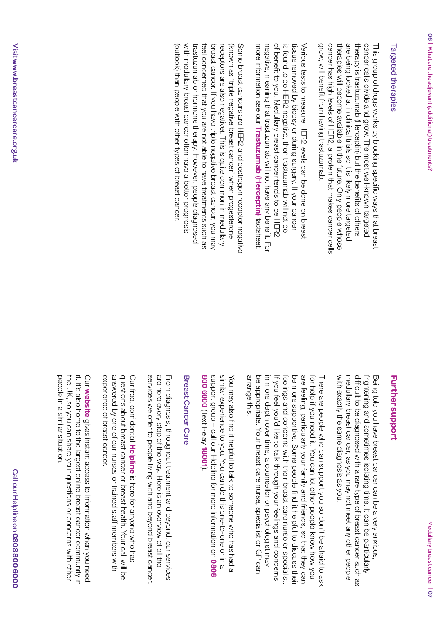grow, will benefit from having trastuzumab. are being looked at in clinical trials so it is likely more targeted cancer has high levels of HER2, a protein that makes cancer cells therapies will become available in the future. Only people whose therapy is trastuzumab (Herceptin) but the benefits of others cancer cells divide and grow. The most well-known targeted This group of drugs works by blocking specific ways that breast grow, will benefit from having trastuzumab. cancer has high levels of HER2, a protein that makes cancer cells therapies will become available in the future. Only people whose are being looked at in clinical trials so it is likely more targeted therapy is trastuzumab (Herceptin) but the benefits of others cancer cells divide and grow. The most well-known targeted This group of drugs works by blocking specific ways that breast

of benefit to you. Medullary breast cancer tends to be HER2 more information see our Trastuzumab (Herceptin) factsheet. negative, meaning that trastuzumab will not have any benefit. For is found to be HER2 negative, then trastuzumab will not be tissue removed by biopsy or during surgery. If your cancer Various tests to measure HER2 levels can be done on breas more information see our negative, meaning that trastuzumab will not have any benefit. For of benefit to you. Medullary breast cancer tends to be HER2 is found to be HER2 negative, then trastuzumab will not be tissue removed by biopsy or during surgery. If your cancer Various tests to measure HER2 levels can be done on breast **Trastuzumab (Herceptin)**factsheet.

(outlook) than people with other types of breast cancer. with medullary breast cancer often have a better prognosis trastuzumab or hormone therapy. However, people diagnosed feel concerned that you are not able to have treatments such as breast cancer. If you have triple negative breast cancer, you may receptors are also negative). This is quite common in medullary enoneseporg nenw 'reonst cancer' when progesterone Some breast cancers are HER2 and oestrogen receptor negative (outlook) than people with other types of breast cancer. with medullary breast cancer often have a better prognosis trastuzumab or hormone therapy. However, people diagnosed feel concerned that you are not able to have treatments such as breast cancer. If you have triple negative breast cancer, you may receptors are also negative). This is quite common in medullary (known as 'triple negative breast cancer' when progesterone Some breast cancers are HER2 and oestrogen receptor negative

Medullary breast cancer

|<br>|<br>|<br>|

with exactly the same diagnosis as you. medullary breast cancer, as you may not meet any other people difficult to be diagnosed with a rare type of breast cancer such as frightening and sometimes isolating time. It can be particularly Being told you have breast cancer can be a very anxious with exactly the same diagnosis as you. medullary breast cancer, as you may not meet any other people difficult to be diagnosed with a rare type of breast cancer such as frightening and sometimes isolating time. It can be particularly Being told you have breast cancer can be a very anxious,

arrange this. be appropriate. Your breast care nurse, specialist or GP can in more depth over time, a counsellor or psychologist may be more supportive. Some people find it helpful to discuss thei are feeling, particularly your family and friends, so that they can for help if you need it. You can let other people know how you There are people who can support you so don't be afraid to ask arrange this. be appropriate. Your breast care nurse, specialist or GP can in more depth over time, a counsellor or psychologist may If you feel you'd like to talk through your feelings and concerns feelings and concerns with their breast care nurse or specialist feelings and concerns with their breast care nurse or specialist. be more supportive. Some people find it helpful to discuss their are feeling, particularly your family and friends, so that they can for help if you need it. You can let other people know how you There are people who can support you so don't be afraid to ask f you feel you'd like to talk through your feelings and concerns

support group - call our Helpline for more information on 0808 similar experience to you. You can do this one-to-one or in a You may also find it helpful to talk to someone who has had a **800 6000**support group – call our Helpline for more information on similar experience to you. You can do this one-to-one or in a You may also find it helpful to talk to someone who has had a (Text Relay **18001**).

### Breast Cancer Care Breast Cancer Care

services we offer to people living with and beyond breast cancer are here every step of the way. Here is an overview of all the From diagnosis, throughout treatment and beyond, our services services we offer to people living with and beyond breast cancer. are here every step of the way. Here is an overview of all the From diagnosis, throughout treatment and beyond, our services

experience of breast cancer. answered by one of our nurses or trained staff members with questions about breast cancer or breast health. Your call will be Our free, confidential Helpline is here for anyone who has experience of breast cancer. answered by one of our nurses or trained staff members with questions about breast cancer or breast health. Your call will be Our free, confidential is here for anyone who has

the UK, so you can share your questions or concerns with other it. It's also home to the largest online breast cancer community in Our website gives instant access to information when you need people in a similar situation. people in a similar situation. the UK, so you can share your questions or concerns with other it. It's also home to the largest online breast cancer community in **website**gives instant access to information when you need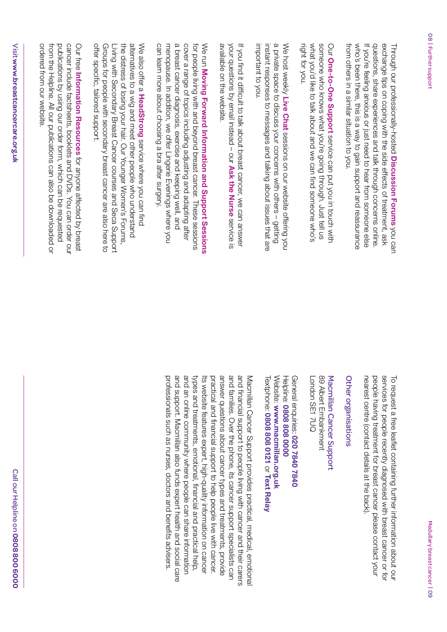exchange tips on coping with the side effects of treatment, ask from others in a similar situation to you. who's been there, this is a way to gain support and reassurance If you're feeling anxious or just need to hear from someone else questions, share experiences and talk through concerns online Through our professionally-hosted Discussion Forums you can from others in a similar situation to you. who's been there, this is a way to gain support and reassurance If you're feeling anxious or just need to hear from someone else questions, share experiences and talk through concerns online. exchange tips on coping with the side effects of treatment, ask Through our professionally-hosted **Discussion Forums**you can

what you'd like to talk about and we can find someone who's someone who knows what you're going through. Just tell us right for you. Our One-to-One Support service can put you in touch with right for you. what you'd like to talk about and we can find someone who's someone who knows what you're going through. Just tell us **One-to-One Support**service can put you in touch with

a private space to discuss your concerns with others - getting important to you. instant responses to messages and talking about issues that are We host weekly Live Chat sessions on our website offering you important to you. instant responses to messages and talking about issues that are a private space to discuss your concerns with others – getting We host weekly **Live Chat** sessions on our website offering you

available on the website. your questions by email instead - our Ask the Nurse service is If you find it difficult to talk about breast cancer, we can answer available on the website. your questions by email instead – our If you find it difficult to talk about breast cancer, we can answer **Ask the Nurse** service is

a breast cancer diagnosis, exercise and keeping well, and cover a range of topics including adjusting and adapting after can learn more about choosing a bra after surgery. menopause. In addition, we offer Lingerie Evenings where you for people living with and beyond breast cancer. These sessions We run Moving Forward Information and Support Sessions can learn more about choosing a bra after surgery. menopause. In addition, we offer Lingerie Evenings where you a breast cancer diagnosis, exercise and keeping well, and cover a range of topics including adjusting and adapting after for people living with and beyond breast cancer. These sessions **Moving Forward Information and Support Sessions**

the distress of losing your hair. Our Younger Women's Forums, alternatives to a wig and meet other people who understand offer specific, tailored support. Groups for people with secondary breast cancer are also here to Living with Secondary Breast Cancer courses and Seca Support We also offer a HeadStrong service where you can find offer specific, tailored support. Groups for people with secondary breast cancer are also here to Living with Secondary Breast Cancer courses and Seca Support the distress of losing your hair. Our Younger Women's Forums, alternatives to a wig and meet other people who understand We also offer a **HeadStrong**service where you can find

ordered from our website cancer include factsheets, booklets and DVDs. You can order our from the Helpline. All our publications can also be downloaded or publications by using our order form, which can be requested Our free Information Resources for anyone affected by breast ordered from our website. from the Helpline. All our publications can also be downloaded or publications by using our order form, which can be requested cancer include factsheets, booklets and DVDs. You can order our Our free **Information Resources**for anyone affected by breast

services for people recently diagnosed with breast cancer or to nearest centre (contact details at the back) people having treatment for breast cancer please contact your To request a free leaflet containing further information about our To request a free leaflet containing further information about our nearest centre (contact details at the back). people having treatment for breast cancer please contact your services for people recently diagnosed with breast cancer or for

### Other organisations Other organisations

London SE1 7UQ 89 Albert Embankment Macmillan Cancer Support London SE1 7UQ 89 Albert Embankment Macmillan Cancer Support

Website: www.macmillan.org.uk Helpline: 0808 808 0000 General enquiries: 020 7840 7840 Textphone: Website: Textphone: 0808 808 0121 or Text Relay General enquiries: **www.macmillan.org.uk 0808 808 0000 0808 808 0121020 7840 7840 Text Relay**

and families. Over the phone, its cancer support specialists can and financial support to people living with cancer and their carers professionals such as nurses, doctors and benefits advisers. and support. Macmillan also tunds expert health and social care and an online community where people can share information types and treatments, emotional, financial and practical help, practical and financial support to help people live with cancer. answer questions about cancer types and treatments, provide Macmillan Cancer Support provides practical, medical, emotional types and treatments, emotional, financial and practical help, Its website features expert, high-quality information on cancer professionals such as nurses, doctors and benefits advisers. and support. Macmillan also funds expert health and social care and an online community where people can share information Its website features expert, high-quality information on cancer practical and financial support to help people live with cancer. answer questions about cancer types and treatments, provide and families. Over the phone, its cancer support specialists can and financial support to people living with cancer and their carers Macmillan Cancer Support provides practical, medical, emotional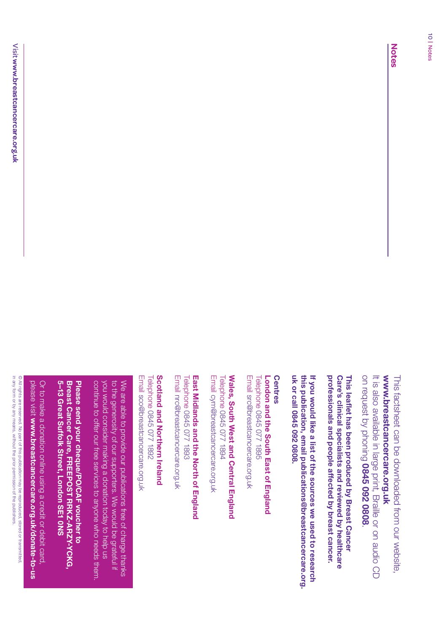www.breastcancercare.org.uk **www.breastcancercare.org.uk** This factsheet can be downloaded from our website, This factsheet can be downloaded from our website,

on request by phoning 0845 092 0808. It is also available in large print, Braille or on audio CD on request by phoning It is also available in large print, Braille or on audio CD **0845 092 0808**

professionals and people affected by breast cancer. Care's clinical specialists and reviewed by healthcare This leaflet has been produced by Breast Cancer **professionals and people affected by breast cancer. Care's clinical specialists and reviewed by healthcare This leafet has been produced by Breast Cancer** 

uk or call 0845 092 0808. this publication, email publications@breastcancercare.org. If you would like a list of the sources we used to research **uk or call 0845 092 0808. this publication, email publications@breastcancercare.org. If you would like a list of the sources we used to research** 

Email src@breastcancercare.org.uk London and the South East of England **Centres Centres** Email src@breastcancercare.org.uk Telephone 0845 077 1895 **London and the South East of England** 0845 077 1895

Email cym@breastcancercare.org.uk Wales, South West and Central England Telephone **Wales, South West and Central England** Email cym@breastcancercare.org.uk Telephone 0845 077 1894 0845 077 1894

East Midlands and the North of England **East Midlands and the North of England** 0845 077 1893

Email nrc@breastcancercare.org.uk Telephone Email nrc@breastcancercare.org.uk Telephone 0845 077 1893

Scotland and Northern Ireland Email sco@breastcancercare.org.uk **Scotland and Northern Ireland** Email sco@breastcancercare.org.uk Telephone 0845 077 1892 0845 077 1892

continue to offer our free services to anyone who needs them. to the generosity of our supporters. We would be grateful if Su would consider making a donation today to help us We are able to provide our publications tree of charge thanks continue to offer our free services to anyone who needs them. you would consider making a donation today to help us to the generosity of our supporters. We would be grateful if We are able to provide our publications free of charge thanks

5-13 Great Suffolk Street, London SE1 0NS Breast Cancer Care, FREEPOST RRKZ-ARZY-YCKG, Please send your cheque/PO/CAF voucher to **5–13 Great Suffolk Street, London SE1 0NS Breast Cancer Care, FREEPOST RRKZ-ARZY-YCKG, Please send your cheque/PO/CAF voucher to** 

please visit www.breastcancercare.org.uk/donate-to-us Or to make a donation online using a credit or debit card please visit Or to make a donation online using a credit or debit card, **www.breastcancercare.org.uk/donate-to-us**

in any form or by any means, without the prior permission of the publishers. © All rights are reserved. No part of this publication may be reproduced, stored or transmitted, in any form or by any means, without the prior permission of the publishers. © All rights are reserved. No part of this publication may be reproduced, stored or transmitted,

**Notes**